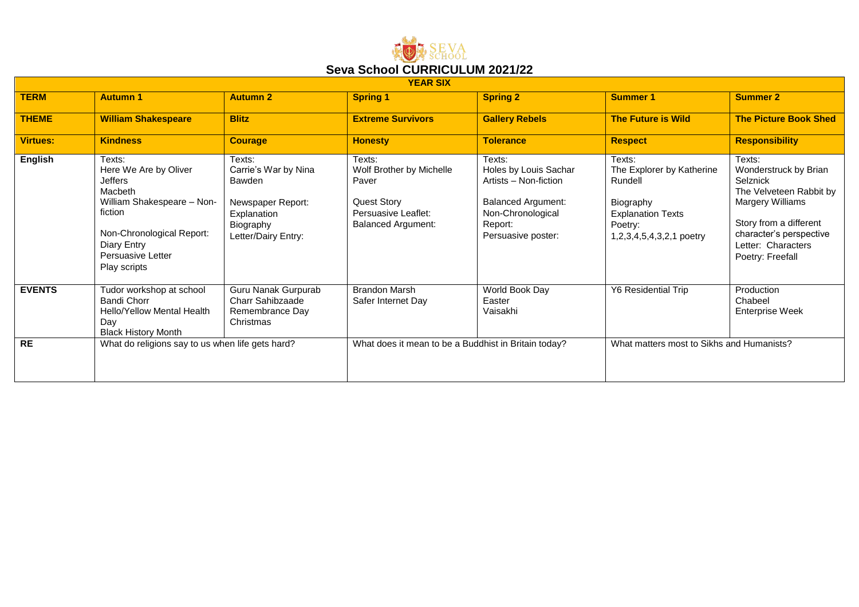

| <b>YEAR SIX</b> |                                                                                                                                                                                        |                                                                                                                  |                                                                                                                       |                                                                                                                                             |                                                                                                                                |                                                                                                                                                                                           |  |
|-----------------|----------------------------------------------------------------------------------------------------------------------------------------------------------------------------------------|------------------------------------------------------------------------------------------------------------------|-----------------------------------------------------------------------------------------------------------------------|---------------------------------------------------------------------------------------------------------------------------------------------|--------------------------------------------------------------------------------------------------------------------------------|-------------------------------------------------------------------------------------------------------------------------------------------------------------------------------------------|--|
| <b>TERM</b>     | <b>Autumn 1</b>                                                                                                                                                                        | <b>Autumn 2</b>                                                                                                  | <b>Spring 1</b>                                                                                                       | <b>Spring 2</b>                                                                                                                             | <b>Summer 1</b>                                                                                                                | <b>Summer 2</b>                                                                                                                                                                           |  |
| <b>THEME</b>    | <b>William Shakespeare</b>                                                                                                                                                             | <b>Blitz</b>                                                                                                     | <b>Extreme Survivors</b>                                                                                              | <b>Gallery Rebels</b>                                                                                                                       | <b>The Future is Wild</b>                                                                                                      | <b>The Picture Book Shed</b>                                                                                                                                                              |  |
| <b>Virtues:</b> | <b>Kindness</b>                                                                                                                                                                        | <b>Courage</b>                                                                                                   | <b>Honesty</b>                                                                                                        | <b>Tolerance</b>                                                                                                                            | <b>Respect</b>                                                                                                                 | <b>Responsibility</b>                                                                                                                                                                     |  |
| <b>English</b>  | Texts:<br>Here We Are by Oliver<br><b>Jeffers</b><br>Macbeth<br>William Shakespeare - Non-<br>fiction<br>Non-Chronological Report:<br>Diary Entry<br>Persuasive Letter<br>Play scripts | Texts:<br>Carrie's War by Nina<br>Bawden<br>Newspaper Report:<br>Explanation<br>Biography<br>Letter/Dairy Entry: | Texts:<br>Wolf Brother by Michelle<br>Paver<br><b>Quest Story</b><br>Persuasive Leaflet:<br><b>Balanced Argument:</b> | Texts:<br>Holes by Louis Sachar<br>Artists - Non-fiction<br><b>Balanced Argument:</b><br>Non-Chronological<br>Report:<br>Persuasive poster: | Texts:<br>The Explorer by Katherine<br>Rundell<br>Biography<br><b>Explanation Texts</b><br>Poetry:<br>1,2,3,4,5,4,3,2,1 poetry | Texts:<br>Wonderstruck by Brian<br>Selznick<br>The Velveteen Rabbit by<br>Margery Williams<br>Story from a different<br>character's perspective<br>Letter: Characters<br>Poetry: Freefall |  |
| <b>EVENTS</b>   | Tudor workshop at school<br><b>Bandi Chorr</b><br><b>Hello/Yellow Mental Health</b><br>Day<br><b>Black History Month</b>                                                               | Guru Nanak Gurpurab<br>Charr Sahibzaade<br>Remembrance Day<br>Christmas                                          | <b>Brandon Marsh</b><br>Safer Internet Day                                                                            | World Book Day<br>Easter<br>Vaisakhi                                                                                                        | <b>Y6 Residential Trip</b>                                                                                                     | Production<br>Chabeel<br><b>Enterprise Week</b>                                                                                                                                           |  |
| <b>RE</b>       | What do religions say to us when life gets hard?                                                                                                                                       |                                                                                                                  | What does it mean to be a Buddhist in Britain today?                                                                  |                                                                                                                                             | What matters most to Sikhs and Humanists?                                                                                      |                                                                                                                                                                                           |  |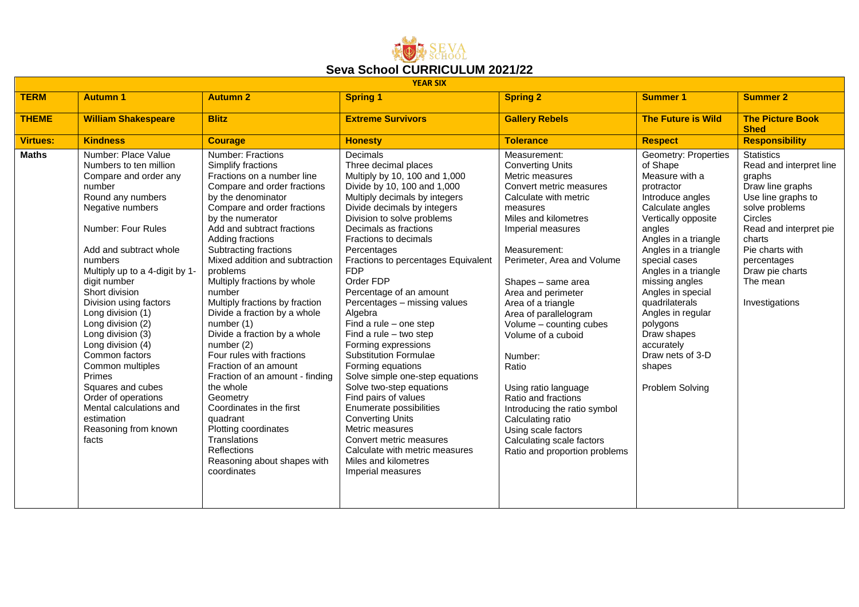

| <b>YEAR SIX</b> |                                                                                                                                                                                                                                                                                                                                                                                                                                                                                                                                              |                                                                                                                                                                                                                                                                                                                                                                                                                                                                                                                                                                                                                                                                                                                                                    |                                                                                                                                                                                                                                                                                                                                                                                                                                                                                                                                                                                                                                                                                                                                                                                                                     |                                                                                                                                                                                                                                                                                                                                                                                                                                                                                                                                                                                |                                                                                                                                                                                                                                                                                                                                                                                                            |                                                                                                                                                                                                                                                      |  |  |  |
|-----------------|----------------------------------------------------------------------------------------------------------------------------------------------------------------------------------------------------------------------------------------------------------------------------------------------------------------------------------------------------------------------------------------------------------------------------------------------------------------------------------------------------------------------------------------------|----------------------------------------------------------------------------------------------------------------------------------------------------------------------------------------------------------------------------------------------------------------------------------------------------------------------------------------------------------------------------------------------------------------------------------------------------------------------------------------------------------------------------------------------------------------------------------------------------------------------------------------------------------------------------------------------------------------------------------------------------|---------------------------------------------------------------------------------------------------------------------------------------------------------------------------------------------------------------------------------------------------------------------------------------------------------------------------------------------------------------------------------------------------------------------------------------------------------------------------------------------------------------------------------------------------------------------------------------------------------------------------------------------------------------------------------------------------------------------------------------------------------------------------------------------------------------------|--------------------------------------------------------------------------------------------------------------------------------------------------------------------------------------------------------------------------------------------------------------------------------------------------------------------------------------------------------------------------------------------------------------------------------------------------------------------------------------------------------------------------------------------------------------------------------|------------------------------------------------------------------------------------------------------------------------------------------------------------------------------------------------------------------------------------------------------------------------------------------------------------------------------------------------------------------------------------------------------------|------------------------------------------------------------------------------------------------------------------------------------------------------------------------------------------------------------------------------------------------------|--|--|--|
| <b>TERM</b>     | <b>Autumn 1</b>                                                                                                                                                                                                                                                                                                                                                                                                                                                                                                                              | <b>Autumn 2</b>                                                                                                                                                                                                                                                                                                                                                                                                                                                                                                                                                                                                                                                                                                                                    | <b>Spring 1</b>                                                                                                                                                                                                                                                                                                                                                                                                                                                                                                                                                                                                                                                                                                                                                                                                     | <b>Spring 2</b>                                                                                                                                                                                                                                                                                                                                                                                                                                                                                                                                                                | <b>Summer 1</b>                                                                                                                                                                                                                                                                                                                                                                                            | <b>Summer 2</b>                                                                                                                                                                                                                                      |  |  |  |
| <b>THEME</b>    | <b>William Shakespeare</b>                                                                                                                                                                                                                                                                                                                                                                                                                                                                                                                   | <b>Blitz</b>                                                                                                                                                                                                                                                                                                                                                                                                                                                                                                                                                                                                                                                                                                                                       | <b>Extreme Survivors</b>                                                                                                                                                                                                                                                                                                                                                                                                                                                                                                                                                                                                                                                                                                                                                                                            | <b>Gallery Rebels</b>                                                                                                                                                                                                                                                                                                                                                                                                                                                                                                                                                          | <b>The Future is Wild</b>                                                                                                                                                                                                                                                                                                                                                                                  | <b>The Picture Book</b><br><b>Shed</b>                                                                                                                                                                                                               |  |  |  |
| <b>Virtues:</b> | <b>Kindness</b>                                                                                                                                                                                                                                                                                                                                                                                                                                                                                                                              | <b>Courage</b>                                                                                                                                                                                                                                                                                                                                                                                                                                                                                                                                                                                                                                                                                                                                     | <b>Honesty</b>                                                                                                                                                                                                                                                                                                                                                                                                                                                                                                                                                                                                                                                                                                                                                                                                      | <b>Tolerance</b>                                                                                                                                                                                                                                                                                                                                                                                                                                                                                                                                                               | <b>Respect</b>                                                                                                                                                                                                                                                                                                                                                                                             | <b>Responsibility</b>                                                                                                                                                                                                                                |  |  |  |
| <b>Maths</b>    | Number: Place Value<br>Numbers to ten million<br>Compare and order any<br>number<br>Round any numbers<br>Negative numbers<br>Number: Four Rules<br>Add and subtract whole<br>numbers<br>Multiply up to a 4-digit by 1-<br>digit number<br>Short division<br>Division using factors<br>Long division (1)<br>Long division (2)<br>Long division (3)<br>Long division (4)<br>Common factors<br>Common multiples<br>Primes<br>Squares and cubes<br>Order of operations<br>Mental calculations and<br>estimation<br>Reasoning from known<br>facts | <b>Number: Fractions</b><br>Simplify fractions<br>Fractions on a number line<br>Compare and order fractions<br>by the denominator<br>Compare and order fractions<br>by the numerator<br>Add and subtract fractions<br>Adding fractions<br>Subtracting fractions<br>Mixed addition and subtraction<br>problems<br>Multiply fractions by whole<br>number<br>Multiply fractions by fraction<br>Divide a fraction by a whole<br>number(1)<br>Divide a fraction by a whole<br>number (2)<br>Four rules with fractions<br>Fraction of an amount<br>Fraction of an amount - finding<br>the whole<br>Geometry<br>Coordinates in the first<br>quadrant<br>Plotting coordinates<br>Translations<br>Reflections<br>Reasoning about shapes with<br>coordinates | <b>Decimals</b><br>Three decimal places<br>Multiply by 10, 100 and 1,000<br>Divide by 10, 100 and 1,000<br>Multiply decimals by integers<br>Divide decimals by integers<br>Division to solve problems<br>Decimals as fractions<br>Fractions to decimals<br>Percentages<br>Fractions to percentages Equivalent<br><b>FDP</b><br>Order FDP<br>Percentage of an amount<br>Percentages - missing values<br>Algebra<br>Find a rule $-$ one step<br>Find a rule - two step<br>Forming expressions<br>Substitution Formulae<br>Forming equations<br>Solve simple one-step equations<br>Solve two-step equations<br>Find pairs of values<br>Enumerate possibilities<br><b>Converting Units</b><br>Metric measures<br>Convert metric measures<br>Calculate with metric measures<br>Miles and kilometres<br>Imperial measures | Measurement:<br><b>Converting Units</b><br>Metric measures<br>Convert metric measures<br>Calculate with metric<br>measures<br>Miles and kilometres<br>Imperial measures<br>Measurement:<br>Perimeter, Area and Volume<br>Shapes - same area<br>Area and perimeter<br>Area of a triangle<br>Area of parallelogram<br>Volume - counting cubes<br>Volume of a cuboid<br>Number:<br>Ratio<br>Using ratio language<br>Ratio and fractions<br>Introducing the ratio symbol<br>Calculating ratio<br>Using scale factors<br>Calculating scale factors<br>Ratio and proportion problems | Geometry: Properties<br>of Shape<br>Measure with a<br>protractor<br>Introduce angles<br>Calculate angles<br>Vertically opposite<br>angles<br>Angles in a triangle<br>Angles in a triangle<br>special cases<br>Angles in a triangle<br>missing angles<br>Angles in special<br>quadrilaterals<br>Angles in regular<br>polygons<br>Draw shapes<br>accurately<br>Draw nets of 3-D<br>shapes<br>Problem Solving | <b>Statistics</b><br>Read and interpret line<br>graphs<br>Draw line graphs<br>Use line graphs to<br>solve problems<br>Circles<br>Read and interpret pie<br>charts<br>Pie charts with<br>percentages<br>Draw pie charts<br>The mean<br>Investigations |  |  |  |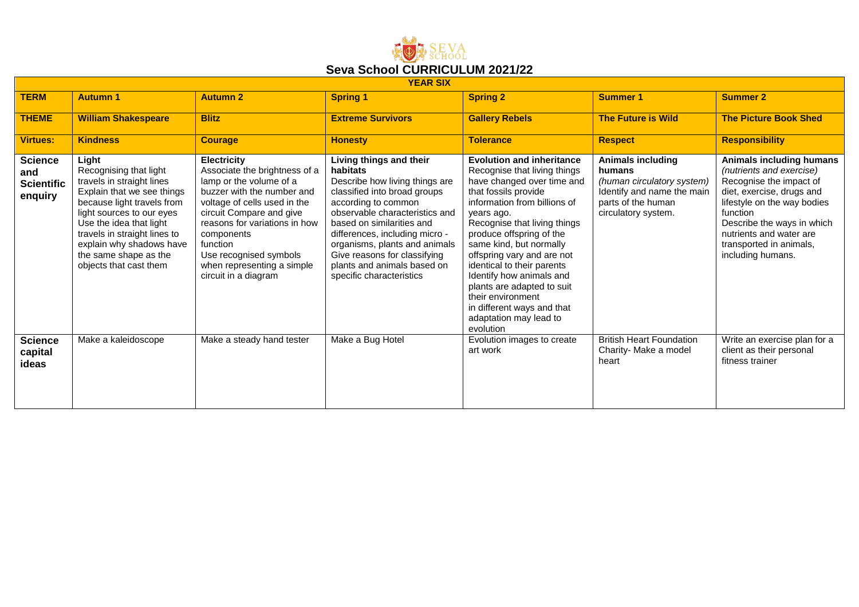

| <b>YEAR SIX</b>                                       |                                                                                                                                                                                                                                                                                                 |                                                                                                                                                                                                                                                                                                                     |                                                                                                                                                                                                                                                                                                                                                           |                                                                                                                                                                                                                                                                                                                                                                                                                                                                             |                                                                                                                                             |                                                                                                                                                                                                                                                                  |  |  |  |
|-------------------------------------------------------|-------------------------------------------------------------------------------------------------------------------------------------------------------------------------------------------------------------------------------------------------------------------------------------------------|---------------------------------------------------------------------------------------------------------------------------------------------------------------------------------------------------------------------------------------------------------------------------------------------------------------------|-----------------------------------------------------------------------------------------------------------------------------------------------------------------------------------------------------------------------------------------------------------------------------------------------------------------------------------------------------------|-----------------------------------------------------------------------------------------------------------------------------------------------------------------------------------------------------------------------------------------------------------------------------------------------------------------------------------------------------------------------------------------------------------------------------------------------------------------------------|---------------------------------------------------------------------------------------------------------------------------------------------|------------------------------------------------------------------------------------------------------------------------------------------------------------------------------------------------------------------------------------------------------------------|--|--|--|
| <b>TERM</b>                                           | <b>Autumn 1</b>                                                                                                                                                                                                                                                                                 | <b>Autumn 2</b>                                                                                                                                                                                                                                                                                                     | <b>Spring 1</b>                                                                                                                                                                                                                                                                                                                                           | <b>Spring 2</b>                                                                                                                                                                                                                                                                                                                                                                                                                                                             | <b>Summer 1</b>                                                                                                                             | <b>Summer 2</b>                                                                                                                                                                                                                                                  |  |  |  |
| <b>THEME</b>                                          | <b>William Shakespeare</b>                                                                                                                                                                                                                                                                      | <b>Blitz</b>                                                                                                                                                                                                                                                                                                        | <b>Extreme Survivors</b>                                                                                                                                                                                                                                                                                                                                  | <b>Gallery Rebels</b>                                                                                                                                                                                                                                                                                                                                                                                                                                                       | <b>The Future is Wild</b>                                                                                                                   | <b>The Picture Book Shed</b>                                                                                                                                                                                                                                     |  |  |  |
| <b>Virtues:</b>                                       | <b>Kindness</b>                                                                                                                                                                                                                                                                                 | <b>Courage</b>                                                                                                                                                                                                                                                                                                      | <b>Honesty</b>                                                                                                                                                                                                                                                                                                                                            | <b>Tolerance</b>                                                                                                                                                                                                                                                                                                                                                                                                                                                            | <b>Respect</b>                                                                                                                              | <b>Responsibility</b>                                                                                                                                                                                                                                            |  |  |  |
| <b>Science</b><br>and<br><b>Scientific</b><br>enquiry | Light<br>Recognising that light<br>travels in straight lines<br>Explain that we see things<br>because light travels from<br>light sources to our eyes<br>Use the idea that light<br>travels in straight lines to<br>explain why shadows have<br>the same shape as the<br>objects that cast them | <b>Electricity</b><br>Associate the brightness of a<br>lamp or the volume of a<br>buzzer with the number and<br>voltage of cells used in the<br>circuit Compare and give<br>reasons for variations in how<br>components<br>function<br>Use recognised symbols<br>when representing a simple<br>circuit in a diagram | Living things and their<br>habitats<br>Describe how living things are<br>classified into broad groups<br>according to common<br>observable characteristics and<br>based on similarities and<br>differences, including micro -<br>organisms, plants and animals<br>Give reasons for classifying<br>plants and animals based on<br>specific characteristics | <b>Evolution and inheritance</b><br>Recognise that living things<br>have changed over time and<br>that fossils provide<br>information from billions of<br>years ago.<br>Recognise that living things<br>produce offspring of the<br>same kind, but normally<br>offspring vary and are not<br>identical to their parents<br>Identify how animals and<br>plants are adapted to suit<br>their environment<br>in different ways and that<br>adaptation may lead to<br>evolution | <b>Animals including</b><br>humans<br>(human circulatory system)<br>Identify and name the main<br>parts of the human<br>circulatory system. | Animals including humans<br>(nutrients and exercise)<br>Recognise the impact of<br>diet, exercise, drugs and<br>lifestyle on the way bodies<br>function<br>Describe the ways in which<br>nutrients and water are<br>transported in animals,<br>including humans. |  |  |  |
| <b>Science</b><br>capital<br>ideas                    | Make a kaleidoscope                                                                                                                                                                                                                                                                             | Make a steady hand tester                                                                                                                                                                                                                                                                                           | Make a Bug Hotel                                                                                                                                                                                                                                                                                                                                          | Evolution images to create<br>art work                                                                                                                                                                                                                                                                                                                                                                                                                                      | <b>British Heart Foundation</b><br>Charity- Make a model<br>heart                                                                           | Write an exercise plan for a<br>client as their personal<br>fitness trainer                                                                                                                                                                                      |  |  |  |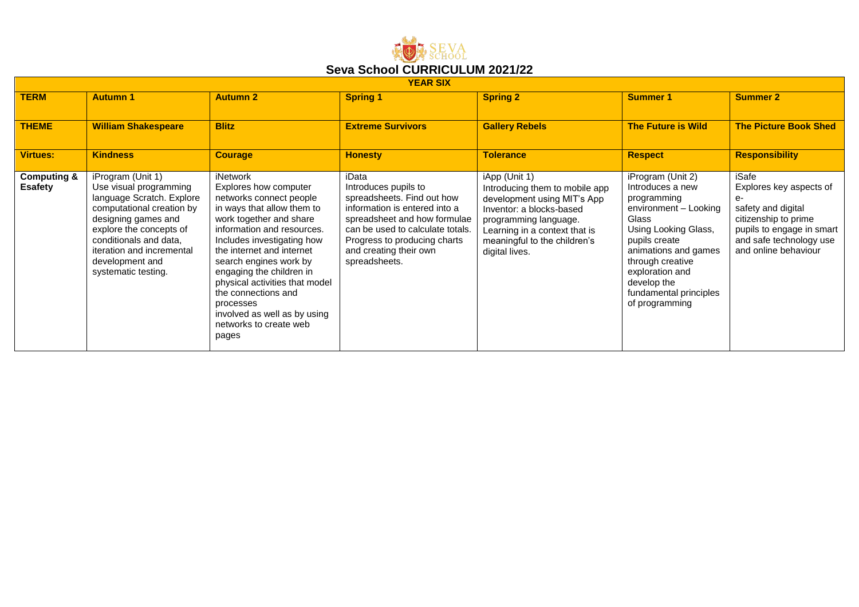

| <b>YEAR SIX</b>                          |                                                                                                                                                                                                                                                          |                                                                                                                                                                                                                                                                                                                                                                                                               |                                                                                                                                                                                                                                             |                                                                                                                                                                                                                        |                                                                                                                                                                                                                                                           |                                                                                                                                                                        |  |  |
|------------------------------------------|----------------------------------------------------------------------------------------------------------------------------------------------------------------------------------------------------------------------------------------------------------|---------------------------------------------------------------------------------------------------------------------------------------------------------------------------------------------------------------------------------------------------------------------------------------------------------------------------------------------------------------------------------------------------------------|---------------------------------------------------------------------------------------------------------------------------------------------------------------------------------------------------------------------------------------------|------------------------------------------------------------------------------------------------------------------------------------------------------------------------------------------------------------------------|-----------------------------------------------------------------------------------------------------------------------------------------------------------------------------------------------------------------------------------------------------------|------------------------------------------------------------------------------------------------------------------------------------------------------------------------|--|--|
| <b>TERM</b>                              | <b>Autumn 1</b>                                                                                                                                                                                                                                          | <b>Autumn 2</b>                                                                                                                                                                                                                                                                                                                                                                                               | <b>Spring 1</b>                                                                                                                                                                                                                             | <b>Spring 2</b>                                                                                                                                                                                                        | <b>Summer 1</b>                                                                                                                                                                                                                                           | <b>Summer 2</b>                                                                                                                                                        |  |  |
| <b>THEME</b>                             | <b>William Shakespeare</b>                                                                                                                                                                                                                               | <b>Blitz</b>                                                                                                                                                                                                                                                                                                                                                                                                  | <b>Extreme Survivors</b>                                                                                                                                                                                                                    | <b>Gallery Rebels</b>                                                                                                                                                                                                  | <b>The Future is Wild</b>                                                                                                                                                                                                                                 | <b>The Picture Book Shed</b>                                                                                                                                           |  |  |
| <b>Virtues:</b>                          | <b>Kindness</b>                                                                                                                                                                                                                                          | <b>Courage</b>                                                                                                                                                                                                                                                                                                                                                                                                | <b>Honesty</b>                                                                                                                                                                                                                              | <b>Tolerance</b>                                                                                                                                                                                                       | <b>Respect</b>                                                                                                                                                                                                                                            | <b>Responsibility</b>                                                                                                                                                  |  |  |
| <b>Computing &amp;</b><br><b>Esafety</b> | iProgram (Unit 1)<br>Use visual programming<br>language Scratch. Explore<br>computational creation by<br>designing games and<br>explore the concepts of<br>conditionals and data,<br>iteration and incremental<br>development and<br>systematic testing. | iNetwork<br>Explores how computer<br>networks connect people<br>in ways that allow them to<br>work together and share<br>information and resources.<br>Includes investigating how<br>the internet and internet<br>search engines work by<br>engaging the children in<br>physical activities that model<br>the connections and<br>processes<br>involved as well as by using<br>networks to create web<br>pages | iData<br>Introduces pupils to<br>spreadsheets. Find out how<br>information is entered into a<br>spreadsheet and how formulae<br>can be used to calculate totals.<br>Progress to producing charts<br>and creating their own<br>spreadsheets. | iApp (Unit 1)<br>Introducing them to mobile app<br>development using MIT's App<br>Inventor: a blocks-based<br>programming language.<br>Learning in a context that is<br>meaningful to the children's<br>digital lives. | iProgram (Unit 2)<br>Introduces a new<br>programming<br>environment - Looking<br>Glass<br>Using Looking Glass,<br>pupils create<br>animations and games<br>through creative<br>exploration and<br>develop the<br>fundamental principles<br>of programming | iSafe<br>Explores key aspects of<br>$e-$<br>safety and digital<br>citizenship to prime<br>pupils to engage in smart<br>and safe technology use<br>and online behaviour |  |  |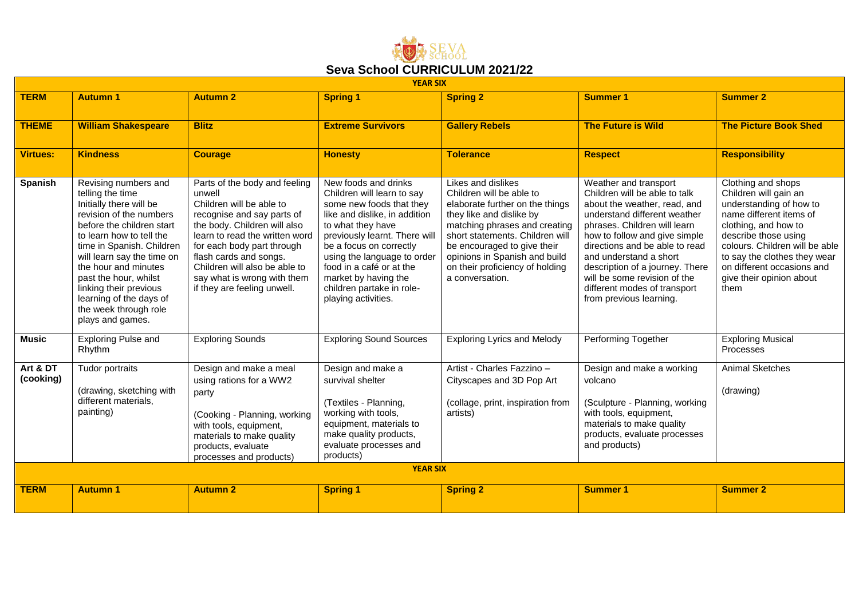

|                       | <b>YEAR SIX</b>                                                                                                                                                                                                                                                                                                                                                       |                                                                                                                                                                                                                                                                                                                            |                                                                                                                                                                                                                                                                                                                                         |                                                                                                                                                                                                                                                                                                         |                                                                                                                                                                                                                                                                                                                                                                                   |                                                                                                                                                                                                                                                                                       |  |  |  |
|-----------------------|-----------------------------------------------------------------------------------------------------------------------------------------------------------------------------------------------------------------------------------------------------------------------------------------------------------------------------------------------------------------------|----------------------------------------------------------------------------------------------------------------------------------------------------------------------------------------------------------------------------------------------------------------------------------------------------------------------------|-----------------------------------------------------------------------------------------------------------------------------------------------------------------------------------------------------------------------------------------------------------------------------------------------------------------------------------------|---------------------------------------------------------------------------------------------------------------------------------------------------------------------------------------------------------------------------------------------------------------------------------------------------------|-----------------------------------------------------------------------------------------------------------------------------------------------------------------------------------------------------------------------------------------------------------------------------------------------------------------------------------------------------------------------------------|---------------------------------------------------------------------------------------------------------------------------------------------------------------------------------------------------------------------------------------------------------------------------------------|--|--|--|
| <b>TERM</b>           | <b>Autumn 1</b>                                                                                                                                                                                                                                                                                                                                                       | <b>Autumn 2</b>                                                                                                                                                                                                                                                                                                            | <b>Spring 1</b>                                                                                                                                                                                                                                                                                                                         | <b>Spring 2</b>                                                                                                                                                                                                                                                                                         | <b>Summer 1</b>                                                                                                                                                                                                                                                                                                                                                                   | <b>Summer 2</b>                                                                                                                                                                                                                                                                       |  |  |  |
| <b>THEME</b>          | <b>William Shakespeare</b>                                                                                                                                                                                                                                                                                                                                            | <b>Blitz</b>                                                                                                                                                                                                                                                                                                               | <b>Extreme Survivors</b>                                                                                                                                                                                                                                                                                                                | <b>Gallery Rebels</b>                                                                                                                                                                                                                                                                                   | <b>The Future is Wild</b>                                                                                                                                                                                                                                                                                                                                                         | <b>The Picture Book Shed</b>                                                                                                                                                                                                                                                          |  |  |  |
| <b>Virtues:</b>       | <b>Kindness</b>                                                                                                                                                                                                                                                                                                                                                       | <b>Courage</b>                                                                                                                                                                                                                                                                                                             | <b>Honesty</b>                                                                                                                                                                                                                                                                                                                          | <b>Tolerance</b>                                                                                                                                                                                                                                                                                        | <b>Respect</b>                                                                                                                                                                                                                                                                                                                                                                    | <b>Responsibility</b>                                                                                                                                                                                                                                                                 |  |  |  |
| Spanish               | Revising numbers and<br>telling the time<br>Initially there will be<br>revision of the numbers<br>before the children start<br>to learn how to tell the<br>time in Spanish. Children<br>will learn say the time on<br>the hour and minutes<br>past the hour, whilst<br>linking their previous<br>learning of the days of<br>the week through role<br>plays and games. | Parts of the body and feeling<br>unwell<br>Children will be able to<br>recognise and say parts of<br>the body. Children will also<br>learn to read the written word<br>for each body part through<br>flash cards and songs.<br>Children will also be able to<br>say what is wrong with them<br>if they are feeling unwell. | New foods and drinks<br>Children will learn to say<br>some new foods that they<br>like and dislike, in addition<br>to what they have<br>previously learnt. There will<br>be a focus on correctly<br>using the language to order<br>food in a café or at the<br>market by having the<br>children partake in role-<br>playing activities. | Likes and dislikes<br>Children will be able to<br>elaborate further on the things<br>they like and dislike by<br>matching phrases and creating<br>short statements. Children will<br>be encouraged to give their<br>opinions in Spanish and build<br>on their proficiency of holding<br>a conversation. | Weather and transport<br>Children will be able to talk<br>about the weather, read, and<br>understand different weather<br>phrases. Children will learn<br>how to follow and give simple<br>directions and be able to read<br>and understand a short<br>description of a journey. There<br>will be some revision of the<br>different modes of transport<br>from previous learning. | Clothing and shops<br>Children will gain an<br>understanding of how to<br>name different items of<br>clothing, and how to<br>describe those using<br>colours. Children will be able<br>to say the clothes they wear<br>on different occasions and<br>give their opinion about<br>them |  |  |  |
| Music                 | <b>Exploring Pulse and</b><br>Rhythm                                                                                                                                                                                                                                                                                                                                  | <b>Exploring Sounds</b>                                                                                                                                                                                                                                                                                                    | <b>Exploring Sound Sources</b>                                                                                                                                                                                                                                                                                                          | <b>Exploring Lyrics and Melody</b>                                                                                                                                                                                                                                                                      | Performing Together                                                                                                                                                                                                                                                                                                                                                               | <b>Exploring Musical</b><br>Processes                                                                                                                                                                                                                                                 |  |  |  |
| Art & DT<br>(cooking) | Tudor portraits<br>(drawing, sketching with<br>different materials,<br>painting)                                                                                                                                                                                                                                                                                      | Design and make a meal<br>using rations for a WW2<br>party<br>(Cooking - Planning, working<br>with tools, equipment,<br>materials to make quality<br>products, evaluate<br>processes and products)                                                                                                                         | Design and make a<br>survival shelter<br>(Textiles - Planning,<br>working with tools,<br>equipment, materials to<br>make quality products,<br>evaluate processes and<br>products)                                                                                                                                                       | Artist - Charles Fazzino -<br>Cityscapes and 3D Pop Art<br>(collage, print, inspiration from<br>artists)                                                                                                                                                                                                | Design and make a working<br>volcano<br>(Sculpture - Planning, working<br>with tools, equipment,<br>materials to make quality<br>products, evaluate processes<br>and products)                                                                                                                                                                                                    | <b>Animal Sketches</b><br>(drawing)                                                                                                                                                                                                                                                   |  |  |  |
|                       |                                                                                                                                                                                                                                                                                                                                                                       |                                                                                                                                                                                                                                                                                                                            | <b>YEAR SIX</b>                                                                                                                                                                                                                                                                                                                         |                                                                                                                                                                                                                                                                                                         |                                                                                                                                                                                                                                                                                                                                                                                   |                                                                                                                                                                                                                                                                                       |  |  |  |
| <b>TERM</b>           | <b>Autumn 1</b>                                                                                                                                                                                                                                                                                                                                                       | <b>Autumn 2</b>                                                                                                                                                                                                                                                                                                            | <b>Spring 1</b>                                                                                                                                                                                                                                                                                                                         | <b>Spring 2</b>                                                                                                                                                                                                                                                                                         | <b>Summer 1</b>                                                                                                                                                                                                                                                                                                                                                                   | <b>Summer 2</b>                                                                                                                                                                                                                                                                       |  |  |  |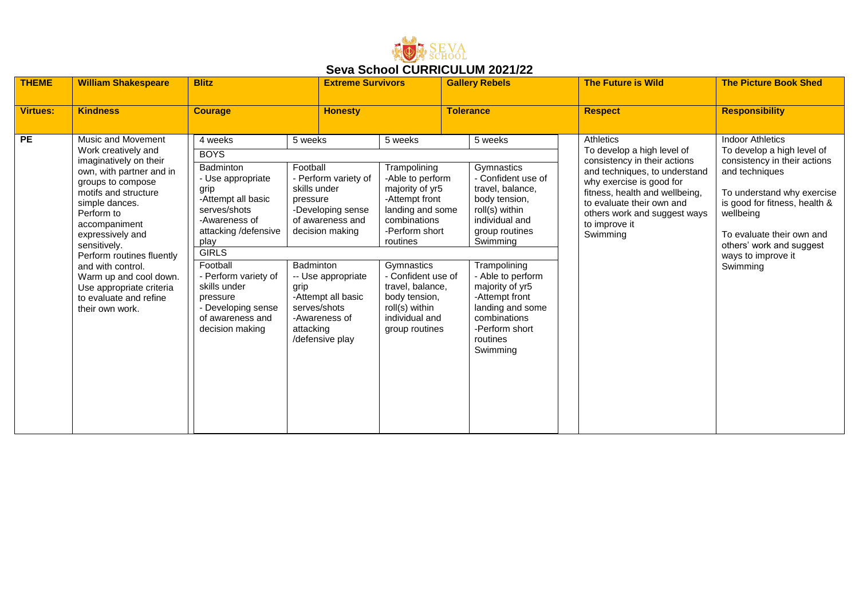

|                 |                                                                                                                                                                                                                                                                                                                                                                                        |                                                                                                                                                                                                                                                                                                      |                                                                                                                                                                                                                                                                       |                                                                                                                                                                                                                                                                                   |                                                                                                                                                                                                                                                                                                            | UUTU UUNUU UUNNUUULUM LUL MLL                                                                                                                                                                                                                                    |                                                                                                                                                                                                                                                                                |  |  |  |  |  |  |
|-----------------|----------------------------------------------------------------------------------------------------------------------------------------------------------------------------------------------------------------------------------------------------------------------------------------------------------------------------------------------------------------------------------------|------------------------------------------------------------------------------------------------------------------------------------------------------------------------------------------------------------------------------------------------------------------------------------------------------|-----------------------------------------------------------------------------------------------------------------------------------------------------------------------------------------------------------------------------------------------------------------------|-----------------------------------------------------------------------------------------------------------------------------------------------------------------------------------------------------------------------------------------------------------------------------------|------------------------------------------------------------------------------------------------------------------------------------------------------------------------------------------------------------------------------------------------------------------------------------------------------------|------------------------------------------------------------------------------------------------------------------------------------------------------------------------------------------------------------------------------------------------------------------|--------------------------------------------------------------------------------------------------------------------------------------------------------------------------------------------------------------------------------------------------------------------------------|--|--|--|--|--|--|
| <b>THEME</b>    | <b>William Shakespeare</b>                                                                                                                                                                                                                                                                                                                                                             | <b>Blitz</b>                                                                                                                                                                                                                                                                                         | <b>Extreme Survivors</b>                                                                                                                                                                                                                                              |                                                                                                                                                                                                                                                                                   | <b>Gallery Rebels</b>                                                                                                                                                                                                                                                                                      | <b>The Future is Wild</b>                                                                                                                                                                                                                                        | <b>The Picture Book Shed</b>                                                                                                                                                                                                                                                   |  |  |  |  |  |  |
|                 |                                                                                                                                                                                                                                                                                                                                                                                        |                                                                                                                                                                                                                                                                                                      |                                                                                                                                                                                                                                                                       |                                                                                                                                                                                                                                                                                   |                                                                                                                                                                                                                                                                                                            |                                                                                                                                                                                                                                                                  |                                                                                                                                                                                                                                                                                |  |  |  |  |  |  |
| <b>Virtues:</b> | <b>Kindness</b>                                                                                                                                                                                                                                                                                                                                                                        | <b>Courage</b>                                                                                                                                                                                                                                                                                       | <b>Honesty</b>                                                                                                                                                                                                                                                        |                                                                                                                                                                                                                                                                                   | <b>Tolerance</b>                                                                                                                                                                                                                                                                                           | <b>Respect</b>                                                                                                                                                                                                                                                   | <b>Responsibility</b>                                                                                                                                                                                                                                                          |  |  |  |  |  |  |
|                 |                                                                                                                                                                                                                                                                                                                                                                                        |                                                                                                                                                                                                                                                                                                      |                                                                                                                                                                                                                                                                       |                                                                                                                                                                                                                                                                                   |                                                                                                                                                                                                                                                                                                            |                                                                                                                                                                                                                                                                  |                                                                                                                                                                                                                                                                                |  |  |  |  |  |  |
| <b>PE</b>       | Music and Movement<br>Work creatively and<br>imaginatively on their<br>own, with partner and in<br>groups to compose<br>motifs and structure<br>simple dances.<br>Perform to<br>accompaniment<br>expressively and<br>sensitively.<br>Perform routines fluently<br>and with control.<br>Warm up and cool down.<br>Use appropriate criteria<br>to evaluate and refine<br>their own work. | 4 weeks<br><b>BOYS</b><br>Badminton<br>- Use appropriate<br>grip<br>-Attempt all basic<br>serves/shots<br>-Awareness of<br>attacking /defensive<br>play<br><b>GIRLS</b><br>Football<br>- Perform variety of<br>skills under<br>pressure<br>- Developing sense<br>of awareness and<br>decision making | 5 weeks<br>Football<br>- Perform variety of<br>skills under<br>pressure<br>-Developing sense<br>of awareness and<br>decision making<br>Badminton<br>-- Use appropriate<br>grip<br>-Attempt all basic<br>serves/shots<br>-Awareness of<br>attacking<br>/defensive play | 5 weeks<br>Trampolining<br>-Able to perform<br>majority of yr5<br>-Attempt front<br>landing and some<br>combinations<br>-Perform short<br>routines<br>Gymnastics<br>- Confident use of<br>travel, balance,<br>body tension,<br>roll(s) within<br>individual and<br>group routines | 5 weeks<br>Gymnastics<br>- Confident use of<br>travel, balance,<br>body tension,<br>roll(s) within<br>individual and<br>group routines<br>Swimming<br>Trampolining<br>- Able to perform<br>majority of yr5<br>-Attempt front<br>landing and some<br>combinations<br>-Perform short<br>routines<br>Swimming | Athletics<br>To develop a high level of<br>consistency in their actions<br>and techniques, to understand<br>why exercise is good for<br>fitness, health and wellbeing,<br>to evaluate their own and<br>others work and suggest ways<br>to improve it<br>Swimming | <b>Indoor Athletics</b><br>To develop a high level of<br>consistency in their actions<br>and techniques<br>To understand why exercise<br>is good for fitness, health &<br>wellbeing<br>To evaluate their own and<br>others' work and suggest<br>ways to improve it<br>Swimming |  |  |  |  |  |  |